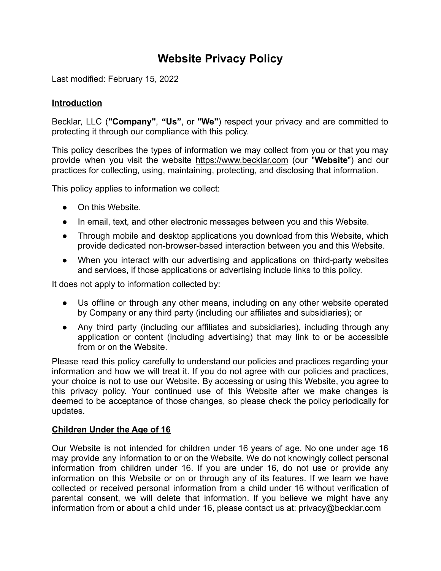# **Website Privacy Policy**

Last modified: February 15, 2022

#### **Introduction**

Becklar, LLC (**"Company"**, **"Us"**, or **"We"**) respect your privacy and are committed to protecting it through our compliance with this policy.

This policy describes the types of information we may collect from you or that you may provide when you visit the website <https://www.becklar.com> (our "**Website**") and our practices for collecting, using, maintaining, protecting, and disclosing that information.

This policy applies to information we collect:

- On this Website.
- In email, text, and other electronic messages between you and this Website.
- Through mobile and desktop applications you download from this Website, which provide dedicated non-browser-based interaction between you and this Website.
- When you interact with our advertising and applications on third-party websites and services, if those applications or advertising include links to this policy.

It does not apply to information collected by:

- Us offline or through any other means, including on any other website operated by Company or any third party (including our affiliates and subsidiaries); or
- Any third party (including our affiliates and subsidiaries), including through any application or content (including advertising) that may link to or be accessible from or on the Website.

Please read this policy carefully to understand our policies and practices regarding your information and how we will treat it. If you do not agree with our policies and practices, your choice is not to use our Website. By accessing or using this Website, you agree to this privacy policy. Your continued use of this Website after we make changes is deemed to be acceptance of those changes, so please check the policy periodically for updates.

#### **Children Under the Age of 16**

Our Website is not intended for children under 16 years of age. No one under age 16 may provide any information to or on the Website. We do not knowingly collect personal information from children under 16. If you are under 16, do not use or provide any information on this Website or on or through any of its features. If we learn we have collected or received personal information from a child under 16 without verification of parental consent, we will delete that information. If you believe we might have any information from or about a child under 16, please contact us at: privacy@becklar.com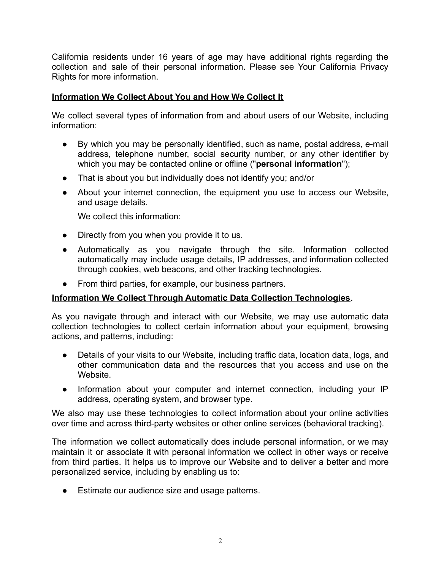California residents under 16 years of age may have additional rights regarding the collection and sale of their personal information. Please see Your [California](#page-3-0) Privacy [Rights](#page-3-0) for more information.

## **Information We Collect About You and How We Collect It**

We collect several types of information from and about users of our Website, including information:

- By which you may be personally identified, such as name, postal address, e-mail address, telephone number, social security number, or any other identifier by which you may be contacted online or offline ("**personal information**");
- That is about you but individually does not identify you; and/or
- About your internet connection, the equipment you use to access our Website, and usage details.

We collect this information:

- Directly from you when you provide it to us.
- Automatically as you navigate through the site. Information collected automatically may include usage details, IP addresses, and information collected through cookies, web beacons, and other tracking technologies.
- From third parties, for example, our business partners.

## **Information We Collect Through Automatic Data Collection Technologies**.

As you navigate through and interact with our Website, we may use automatic data collection technologies to collect certain information about your equipment, browsing actions, and patterns, including:

- Details of your visits to our Website, including traffic data, location data, logs, and other communication data and the resources that you access and use on the Website.
- Information about your computer and internet connection, including your IP address, operating system, and browser type.

We also may use these technologies to collect information about your online activities over time and across third-party websites or other online services (behavioral tracking).

The information we collect automatically does include personal information, or we may maintain it or associate it with personal information we collect in other ways or receive from third parties. It helps us to improve our Website and to deliver a better and more personalized service, including by enabling us to:

● Estimate our audience size and usage patterns.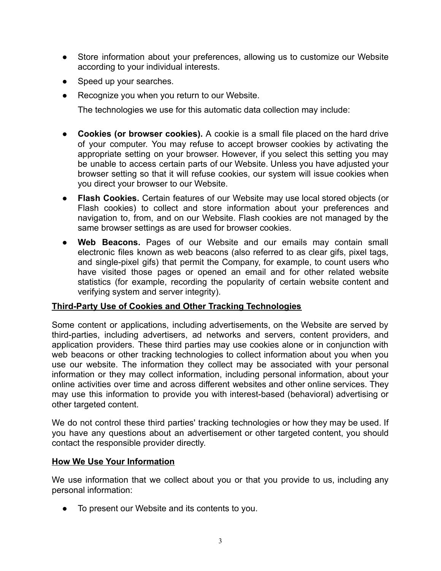- Store information about your preferences, allowing us to customize our Website according to your individual interests.
- Speed up your searches.
- Recognize you when you return to our Website.

The technologies we use for this automatic data collection may include:

- **Cookies (or browser cookies).** A cookie is a small file placed on the hard drive of your computer. You may refuse to accept browser cookies by activating the appropriate setting on your browser. However, if you select this setting you may be unable to access certain parts of our Website. Unless you have adjusted your browser setting so that it will refuse cookies, our system will issue cookies when you direct your browser to our Website.
- **Flash Cookies.** Certain features of our Website may use local stored objects (or Flash cookies) to collect and store information about your preferences and navigation to, from, and on our Website. Flash cookies are not managed by the same browser settings as are used for browser cookies.
- Web Beacons. Pages of our Website and our emails may contain small electronic files known as web beacons (also referred to as clear gifs, pixel tags, and single-pixel gifs) that permit the Company, for example, to count users who have visited those pages or opened an email and for other related website statistics (for example, recording the popularity of certain website content and verifying system and server integrity).

## **Third-Party Use of Cookies and Other Tracking Technologies**

Some content or applications, including advertisements, on the Website are served by third-parties, including advertisers, ad networks and servers, content providers, and application providers. These third parties may use cookies alone or in conjunction with web beacons or other tracking technologies to collect information about you when you use our website. The information they collect may be associated with your personal information or they may collect information, including personal information, about your online activities over time and across different websites and other online services. They may use this information to provide you with interest-based (behavioral) advertising or other targeted content.

We do not control these third parties' tracking technologies or how they may be used. If you have any questions about an advertisement or other targeted content, you should contact the responsible provider directly.

#### **How We Use Your Information**

We use information that we collect about you or that you provide to us, including any personal information:

● To present our Website and its contents to you.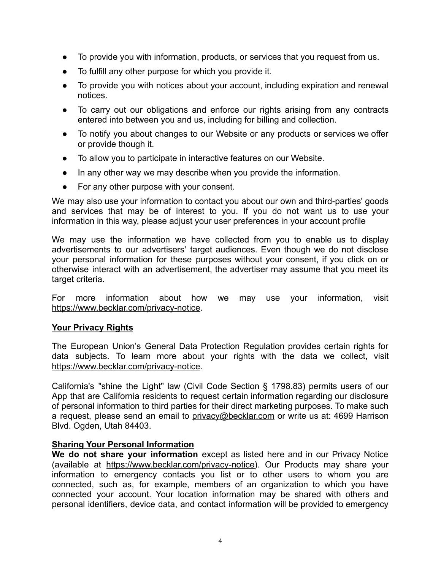- To provide you with information, products, or services that you request from us.
- To fulfill any other purpose for which you provide it.
- To provide you with notices about your account, including expiration and renewal notices.
- To carry out our obligations and enforce our rights arising from any contracts entered into between you and us, including for billing and collection.
- To notify you about changes to our Website or any products or services we offer or provide though it.
- To allow you to participate in interactive features on our Website.
- In any other way we may describe when you provide the information.
- For any other purpose with your consent.

We may also use your information to contact you about our own and third-parties' goods and services that may be of interest to you. If you do not want us to use your information in this way, please adjust your user preferences in your account profile

We may use the information we have collected from you to enable us to display advertisements to our advertisers' target audiences. Even though we do not disclose your personal information for these purposes without your consent, if you click on or otherwise interact with an advertisement, the advertiser may assume that you meet its target criteria.

For more information about how we may use your information, visit <https://www.becklar.com/privacy-notice>.

#### <span id="page-3-0"></span>**Your Privacy Rights**

The European Union's General Data Protection Regulation provides certain rights for data subjects. To learn more about your rights with the data we collect, visit <https://www.becklar.com/privacy-notice>.

California's "shine the Light" law (Civil Code Section § 1798.83) permits users of our App that are California residents to request certain information regarding our disclosure of personal information to third parties for their direct marketing purposes. To make such a request, please send an email to [privacy@becklar.com](mailto:privacy@becklar.com) or write us at: 4699 Harrison Blvd. Ogden, Utah 84403.

#### **Sharing Your Personal Information**

**We do not share your information** except as listed here and in our Privacy Notice (available at [https://www.becklar.com/privacy-notice\)](https://www.becklar.com/privacy-notice). Our Products may share your information to emergency contacts you list or to other users to whom you are connected, such as, for example, members of an organization to which you have connected your account. Your location information may be shared with others and personal identifiers, device data, and contact information will be provided to emergency